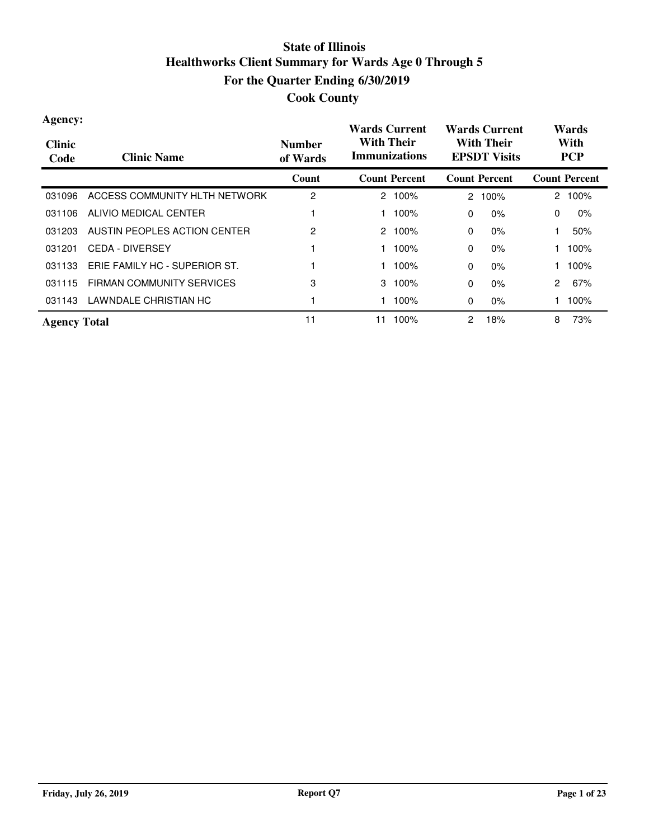| Agency:<br><b>Clinic</b><br>Code | <b>Clinic Name</b>               | <b>Number</b><br>of Wards | <b>Wards Current</b><br><b>With Their</b><br><b>Immunizations</b> | <b>Wards Current</b><br><b>With Their</b><br><b>EPSDT Visits</b> | Wards<br>With<br><b>PCP</b> |
|----------------------------------|----------------------------------|---------------------------|-------------------------------------------------------------------|------------------------------------------------------------------|-----------------------------|
|                                  |                                  | Count                     | <b>Count Percent</b>                                              | <b>Count Percent</b>                                             | <b>Count Percent</b>        |
| 031096                           | ACCESS COMMUNITY HLTH NETWORK    | 2                         | $2.100\%$                                                         | 100%<br>$\mathbf{2}^{\circ}$                                     | 100%<br>2                   |
| 031106                           | ALIVIO MEDICAL CENTER            |                           | 100%                                                              | $0\%$<br>$\Omega$                                                | 0%<br>0                     |
| 031203                           | AUSTIN PEOPLES ACTION CENTER     | 2                         | 2<br>100%                                                         | $0\%$<br>$\Omega$                                                | 50%                         |
| 031201                           | <b>CEDA - DIVERSEY</b>           |                           | 100%                                                              | $0\%$<br>$\Omega$                                                | 100%                        |
| 031133                           | ERIE FAMILY HC - SUPERIOR ST.    |                           | 100%                                                              | $\Omega$<br>$0\%$                                                | 100%                        |
| 031115                           | <b>FIRMAN COMMUNITY SERVICES</b> | 3                         | 3<br>100%                                                         | $0\%$<br>$\Omega$                                                | $\overline{2}$<br>67%       |
| 031143                           | LAWNDALE CHRISTIAN HC            |                           | 100%                                                              | $0\%$<br>0                                                       | 100%                        |
| <b>Agency Total</b>              |                                  | 11                        | 100%<br>11                                                        | 18%<br>2                                                         | 8<br>73%                    |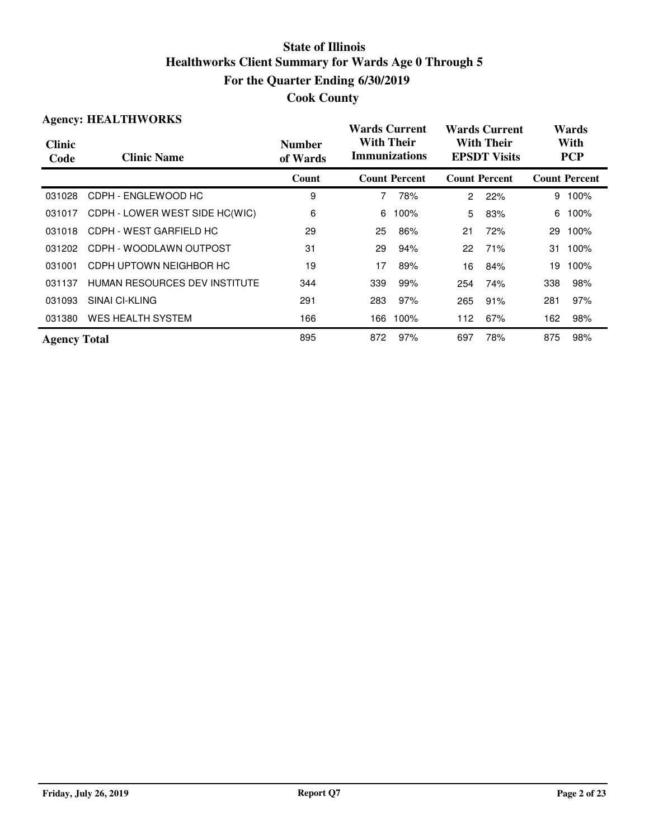|                       | <b>Agency: HEALTHWORKS</b>     |                           | Wards Current                             |                      |                | <b>Wards Current</b>                     |     | Wards                |
|-----------------------|--------------------------------|---------------------------|-------------------------------------------|----------------------|----------------|------------------------------------------|-----|----------------------|
| <b>Clinic</b><br>Code | <b>Clinic Name</b>             | <b>Number</b><br>of Wards | <b>With Their</b><br><b>Immunizations</b> |                      |                | <b>With Their</b><br><b>EPSDT Visits</b> |     | With<br><b>PCP</b>   |
|                       |                                | Count                     |                                           | <b>Count Percent</b> |                | <b>Count Percent</b>                     |     | <b>Count Percent</b> |
| 031028                | CDPH - ENGLEWOOD HC            | 9                         | 7                                         | 78%                  | $\overline{2}$ | 22%                                      | 9   | 100%                 |
| 031017                | CDPH - LOWER WEST SIDE HC(WIC) | 6                         | 6                                         | 100%                 | 5              | 83%                                      | 6   | 100%                 |
| 031018                | CDPH - WEST GARFIELD HC        | 29                        | 25                                        | 86%                  | 21             | 72%                                      | 29  | 100%                 |
| 031202                | CDPH - WOODLAWN OUTPOST        | 31                        | 29                                        | 94%                  | 22             | 71%                                      | 31  | 100%                 |
| 031001                | CDPH UPTOWN NEIGHBOR HC        | 19                        | 17                                        | 89%                  | 16             | 84%                                      | 19  | 100%                 |
| 031137                | HUMAN RESOURCES DEV INSTITUTE  | 344                       | 339                                       | 99%                  | 254            | 74%                                      | 338 | 98%                  |
| 031093                | SINAI CI-KLING                 | 291                       | 283                                       | 97%                  | 265            | 91%                                      | 281 | 97%                  |
| 031380                | WES HEALTH SYSTEM              | 166                       | 166                                       | 100%                 | 112            | 67%                                      | 162 | 98%                  |
| <b>Agency Total</b>   |                                | 895                       | 872                                       | 97%                  | 697            | 78%                                      | 875 | 98%                  |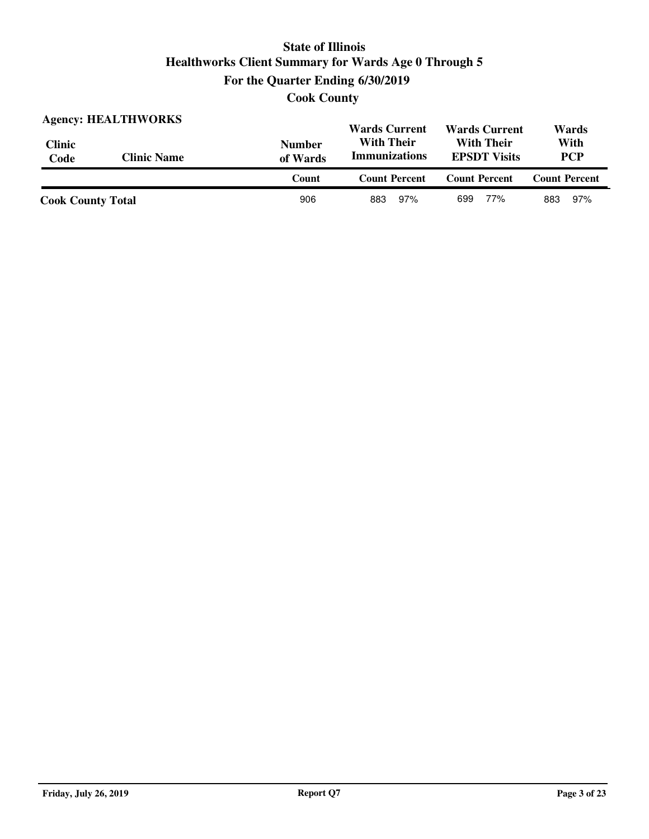**Cook County**

|                          | <b>Agency: HEALTHWORKS</b> |                           | <b>Wards Current</b>                      | <b>Wards Current</b>                     | Wards                |
|--------------------------|----------------------------|---------------------------|-------------------------------------------|------------------------------------------|----------------------|
| <b>Clinic</b><br>Code    | <b>Clinic Name</b>         | <b>Number</b><br>of Wards | <b>With Their</b><br><b>Immunizations</b> | <b>With Their</b><br><b>EPSDT Visits</b> | With<br><b>PCP</b>   |
|                          |                            | Count                     | <b>Count Percent</b>                      | <b>Count Percent</b>                     | <b>Count Percent</b> |
| <b>Cook County Total</b> |                            | 906                       | 97%<br>883                                | 77%<br>699                               | 97%<br>883           |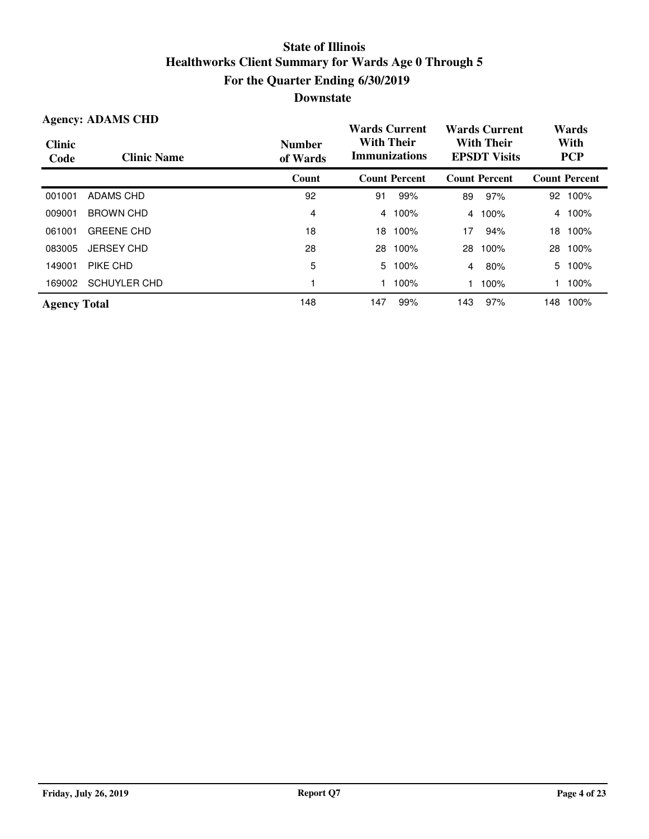|                       | <b>Agency: ADAMS CHD</b> |                           | <b>Wards Current</b>                      |                      |     | <b>Wards Current</b>                     |     | Wards                |
|-----------------------|--------------------------|---------------------------|-------------------------------------------|----------------------|-----|------------------------------------------|-----|----------------------|
| <b>Clinic</b><br>Code | <b>Clinic Name</b>       | <b>Number</b><br>of Wards | <b>With Their</b><br><b>Immunizations</b> |                      |     | <b>With Their</b><br><b>EPSDT Visits</b> |     | With<br><b>PCP</b>   |
|                       |                          | Count                     |                                           | <b>Count Percent</b> |     | <b>Count Percent</b>                     |     | <b>Count Percent</b> |
| 001001                | ADAMS CHD                | 92                        | 91                                        | 99%                  | 89  | 97%                                      | 92  | 100%                 |
| 009001                | <b>BROWN CHD</b>         | 4                         | 4                                         | 100%                 | 4   | 100%                                     | 4   | 100%                 |
| 061001                | <b>GREENE CHD</b>        | 18                        | 18                                        | 100%                 | 17  | 94%                                      | 18  | 100%                 |
| 083005                | <b>JERSEY CHD</b>        | 28                        | 28                                        | 100%                 | 28  | 100%                                     | 28  | 100%                 |
| 149001                | PIKE CHD                 | 5                         | 5                                         | 100%                 | 4   | 80%                                      | 5   | 100%                 |
| 169002                | <b>SCHUYLER CHD</b>      |                           |                                           | 100%                 |     | 100%                                     |     | 100%                 |
| <b>Agency Total</b>   |                          | 148                       | 147                                       | 99%                  | 143 | 97%                                      | 148 | 100%                 |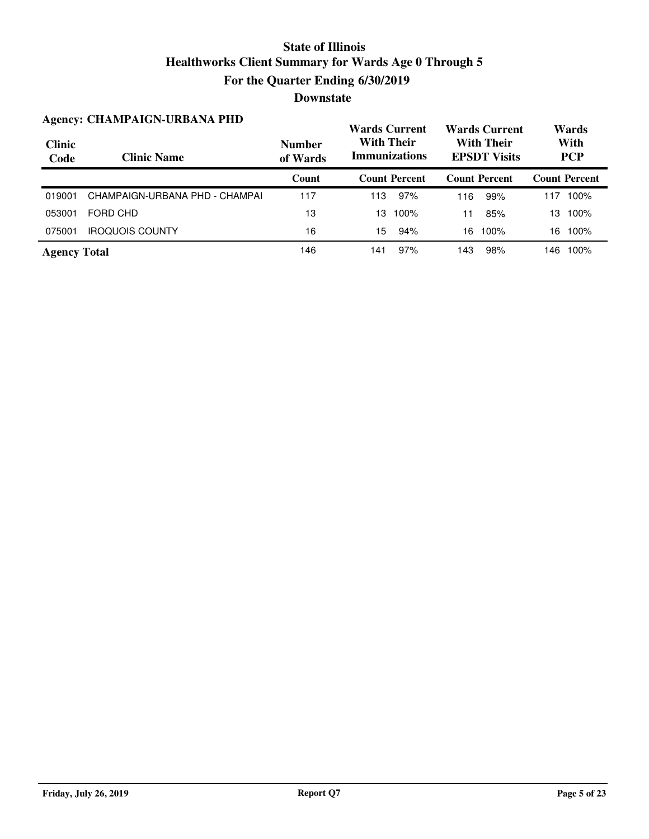|                       | <b>Agency: CHAMPAIGN-URBANA PHD</b> |                           | <b>Wards Current</b>                      |                      |     | <b>Wards Current</b>                     |     | Wards                |
|-----------------------|-------------------------------------|---------------------------|-------------------------------------------|----------------------|-----|------------------------------------------|-----|----------------------|
| <b>Clinic</b><br>Code | <b>Clinic Name</b>                  | <b>Number</b><br>of Wards | <b>With Their</b><br><b>Immunizations</b> |                      |     | <b>With Their</b><br><b>EPSDT Visits</b> |     | With<br><b>PCP</b>   |
|                       |                                     | Count                     |                                           | <b>Count Percent</b> |     | <b>Count Percent</b>                     |     | <b>Count Percent</b> |
| 019001                | CHAMPAIGN-URBANA PHD - CHAMPAI      | 117                       | 113                                       | 97%                  | 116 | 99%                                      | 117 | 100%                 |
| 053001                | FORD CHD                            | 13                        | 13                                        | 100%                 | 11  | 85%                                      | 13  | 100%                 |
| 075001                | <b>IROQUOIS COUNTY</b>              | 16                        | 15                                        | 94%                  | 16  | 100%                                     | 16  | 100%                 |
| <b>Agency Total</b>   |                                     | 146                       | 141                                       | 97%                  | 143 | 98%                                      | 146 | 100%                 |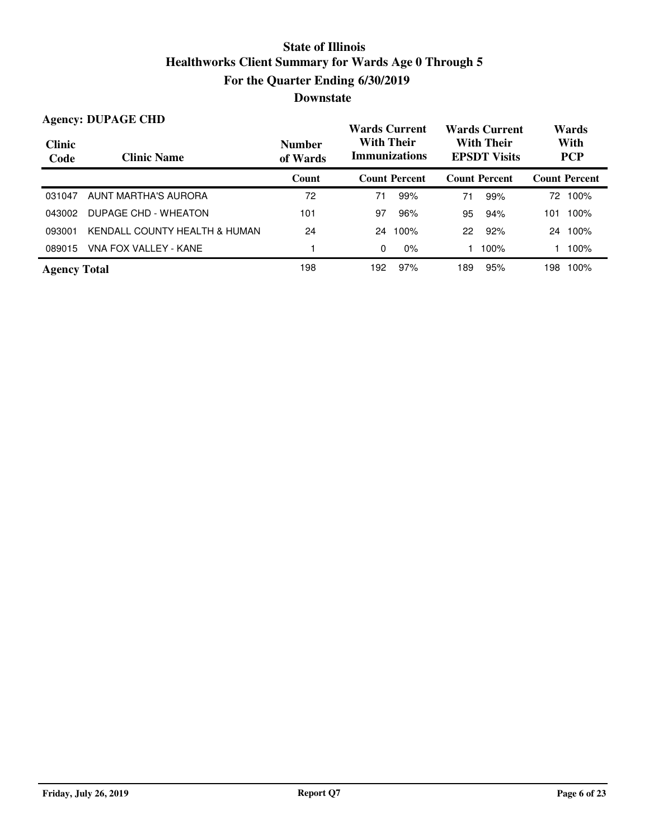|                       | <b>Agency: DUPAGE CHD</b>     |                           | <b>Wards Current</b>                      |                      |     | <b>Wards Current</b>                     |     | Wards                |
|-----------------------|-------------------------------|---------------------------|-------------------------------------------|----------------------|-----|------------------------------------------|-----|----------------------|
| <b>Clinic</b><br>Code | <b>Clinic Name</b>            | <b>Number</b><br>of Wards | <b>With Their</b><br><b>Immunizations</b> |                      |     | <b>With Their</b><br><b>EPSDT</b> Visits |     | With<br><b>PCP</b>   |
|                       |                               | Count                     |                                           | <b>Count Percent</b> |     | <b>Count Percent</b>                     |     | <b>Count Percent</b> |
| 031047                | AUNT MARTHA'S AURORA          | 72                        | 71                                        | 99%                  | 71  | 99%                                      | 72  | 100%                 |
| 043002                | DUPAGE CHD - WHEATON          | 101                       | 97                                        | 96%                  | 95  | 94%                                      | 101 | 100%                 |
| 093001                | KENDALL COUNTY HEALTH & HUMAN | 24                        | 24                                        | 100%                 | 22  | 92%                                      | 24  | 100%                 |
| 089015                | VNA FOX VALLEY - KANE         |                           | 0                                         | $0\%$                |     | 100%                                     |     | 100%                 |
| <b>Agency Total</b>   |                               | 198                       | 192                                       | 97%                  | 189 | 95%                                      | 198 | 100%                 |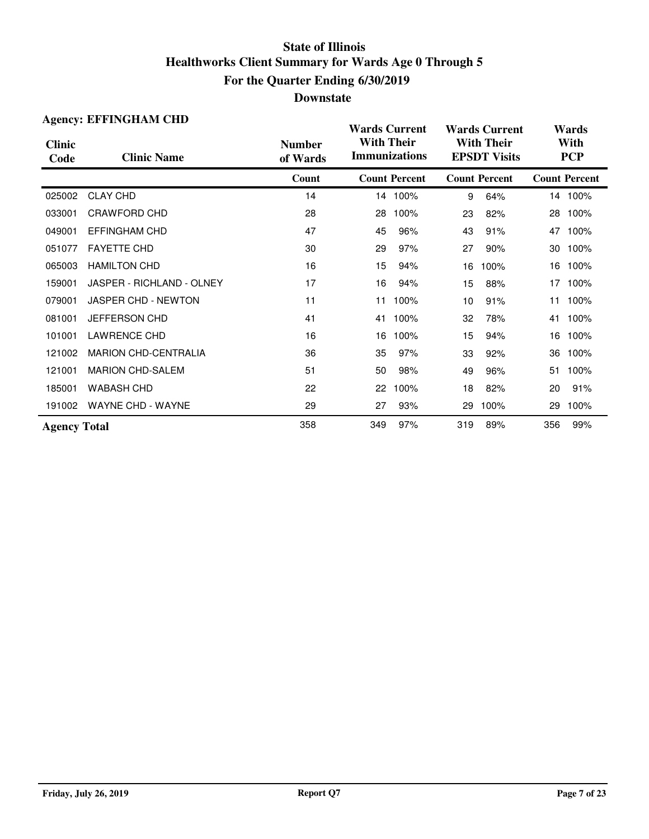|                       | <b>Agency: EFFINGHAM CHD</b> |                           | <b>Wards Current</b>                      |                      |     | <b>Wards Current</b>                     |     | Wards                |
|-----------------------|------------------------------|---------------------------|-------------------------------------------|----------------------|-----|------------------------------------------|-----|----------------------|
| <b>Clinic</b><br>Code | <b>Clinic Name</b>           | <b>Number</b><br>of Wards | <b>With Their</b><br><b>Immunizations</b> |                      |     | <b>With Their</b><br><b>EPSDT Visits</b> |     | With<br><b>PCP</b>   |
|                       |                              | Count                     |                                           | <b>Count Percent</b> |     | <b>Count Percent</b>                     |     | <b>Count Percent</b> |
| 025002                | <b>CLAY CHD</b>              | 14                        |                                           | 14 100%              | 9   | 64%                                      |     | 14 100%              |
| 033001                | CRAWFORD CHD                 | 28                        | 28                                        | 100%                 | 23  | 82%                                      | 28  | 100%                 |
| 049001                | <b>EFFINGHAM CHD</b>         | 47                        | 45                                        | 96%                  | 43  | 91%                                      | 47  | 100%                 |
| 051077                | <b>FAYETTE CHD</b>           | 30                        | 29                                        | 97%                  | 27  | 90%                                      | 30  | 100%                 |
| 065003                | <b>HAMILTON CHD</b>          | 16                        | 15                                        | 94%                  | 16  | 100%                                     | 16  | 100%                 |
| 159001                | JASPER - RICHLAND - OLNEY    | 17                        | 16                                        | 94%                  | 15  | 88%                                      | 17  | 100%                 |
| 079001                | JASPER CHD - NEWTON          | 11                        | 11                                        | 100%                 | 10  | 91%                                      | 11  | 100%                 |
| 081001                | <b>JEFFERSON CHD</b>         | 41                        | 41                                        | 100%                 | 32  | 78%                                      | 41  | 100%                 |
| 101001                | <b>LAWRENCE CHD</b>          | 16                        | 16                                        | 100%                 | 15  | 94%                                      | 16  | 100%                 |
| 121002                | <b>MARION CHD-CENTRALIA</b>  | 36                        | 35                                        | 97%                  | 33  | 92%                                      | 36  | 100%                 |
| 121001                | <b>MARION CHD-SALEM</b>      | 51                        | 50                                        | 98%                  | 49  | 96%                                      | 51  | 100%                 |
| 185001                | <b>WABASH CHD</b>            | 22                        | 22                                        | 100%                 | 18  | 82%                                      | 20  | 91%                  |
| 191002                | <b>WAYNE CHD - WAYNE</b>     | 29                        | 27                                        | 93%                  | 29  | 100%                                     | 29  | 100%                 |
| <b>Agency Total</b>   |                              | 358                       | 349                                       | 97%                  | 319 | 89%                                      | 356 | 99%                  |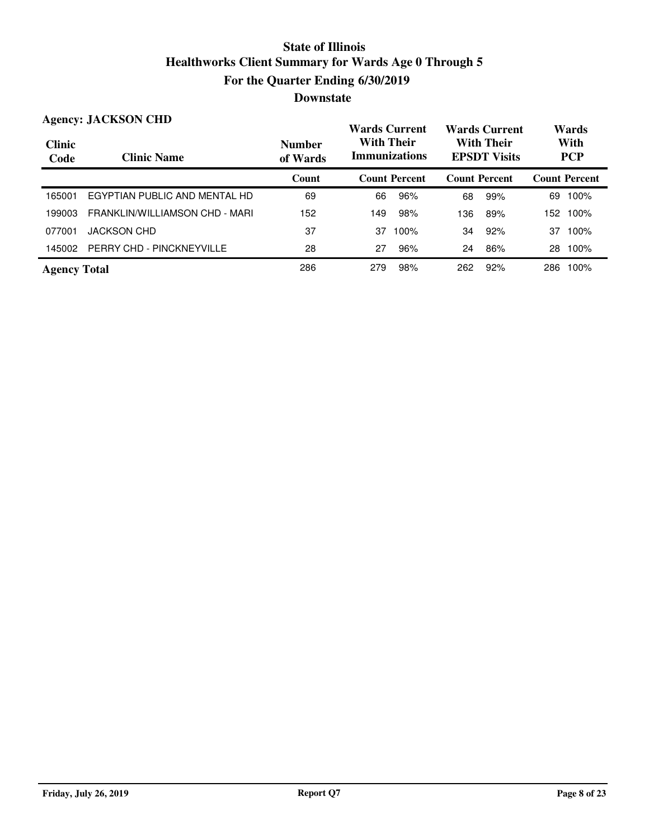|                       | <b>Agency: JACKSON CHD</b>     |                           | <b>Wards Current</b>                      |                      |                      | <b>Wards Current</b>                     |      | Wards                |
|-----------------------|--------------------------------|---------------------------|-------------------------------------------|----------------------|----------------------|------------------------------------------|------|----------------------|
| <b>Clinic</b><br>Code | <b>Clinic Name</b>             | <b>Number</b><br>of Wards | <b>With Their</b><br><b>Immunizations</b> |                      |                      | <b>With Their</b><br><b>EPSDT</b> Visits |      | With<br><b>PCP</b>   |
|                       |                                | Count                     |                                           | <b>Count Percent</b> | <b>Count Percent</b> |                                          |      | <b>Count Percent</b> |
| 165001                | EGYPTIAN PUBLIC AND MENTAL HD  | 69                        | 66                                        | 96%                  | 68                   | 99%                                      | 69   | 100%                 |
| 199003                | FRANKLIN/WILLIAMSON CHD - MARI | 152                       | 149                                       | 98%                  | 136                  | 89%                                      | 152. | 100%                 |
| 077001                | <b>JACKSON CHD</b>             | 37                        | 37                                        | 100%                 | 34                   | 92%                                      | 37   | 100%                 |
| 145002                | PERRY CHD - PINCKNEYVILLE      | 28                        | 27                                        | 96%                  | 24                   | 86%                                      | 28   | 100%                 |
| <b>Agency Total</b>   |                                | 286                       | 279                                       | 98%                  | 262                  | 92%                                      | 286  | 100%                 |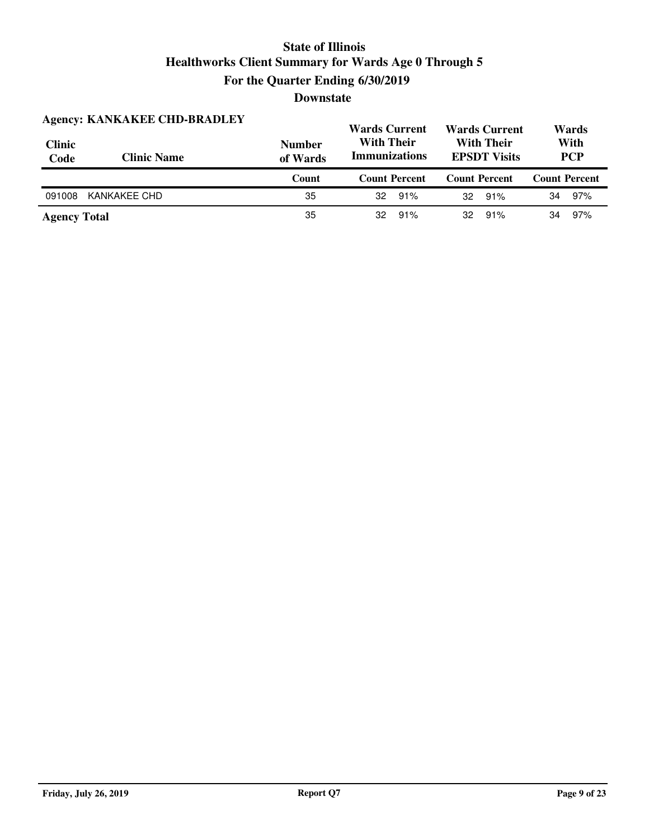| <b>Clinic</b><br>Code | <b>Agency: KANKAKEE CHD-BRADLEY</b><br><b>Clinic Name</b> | <b>Number</b><br>of Wards | <b>Wards Current</b><br><b>With Their</b><br><b>Immunizations</b> | <b>Wards Current</b><br><b>With Their</b><br><b>EPSDT Visits</b> | Wards<br>With<br><b>PCP</b> |
|-----------------------|-----------------------------------------------------------|---------------------------|-------------------------------------------------------------------|------------------------------------------------------------------|-----------------------------|
|                       |                                                           | Count                     | <b>Count Percent</b>                                              | <b>Count Percent</b>                                             | <b>Count Percent</b>        |
| 091008                | KANKAKEE CHD                                              | 35                        | 91%<br>32                                                         | 91%<br>32                                                        | 97%<br>34                   |
| <b>Agency Total</b>   |                                                           | 35                        | 91%<br>32                                                         | 91%<br>32                                                        | 97%<br>34                   |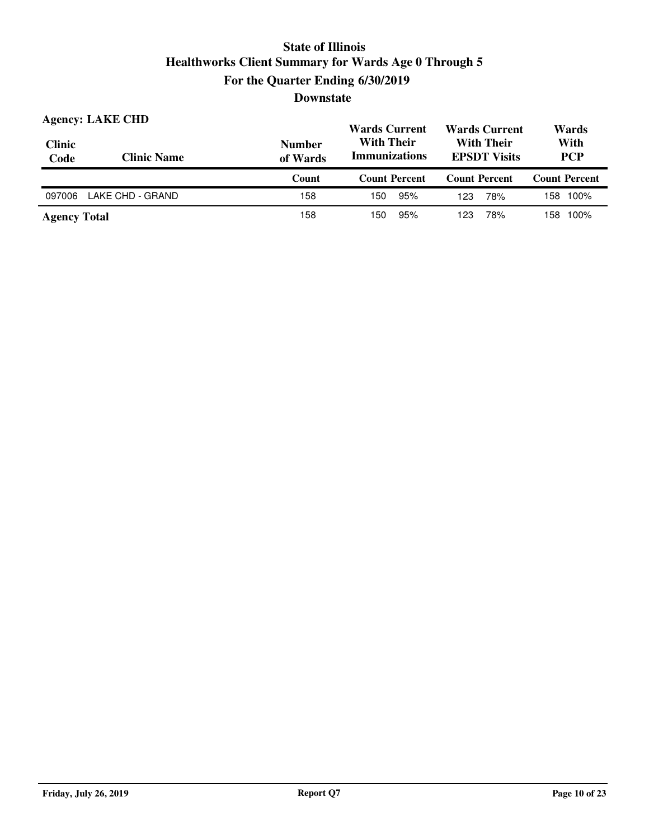| Clinic<br>Code | <b>Agency: LAKE CHD</b><br><b>Clinic Name</b> | <b>Number</b><br>of Wards | <b>Wards Current</b><br><b>With Their</b><br><b>Immunizations</b> | <b>Wards Current</b><br><b>With Their</b><br><b>EPSDT Visits</b> | Wards<br>With<br><b>PCP</b> |
|----------------|-----------------------------------------------|---------------------------|-------------------------------------------------------------------|------------------------------------------------------------------|-----------------------------|
|                |                                               | Count                     | <b>Count Percent</b>                                              | <b>Count Percent</b>                                             | <b>Count Percent</b>        |
|                |                                               |                           |                                                                   |                                                                  |                             |
| 097006         | LAKE CHD - GRAND                              | 158                       | 95%<br>150                                                        | 78%<br>123                                                       | 158 100%                    |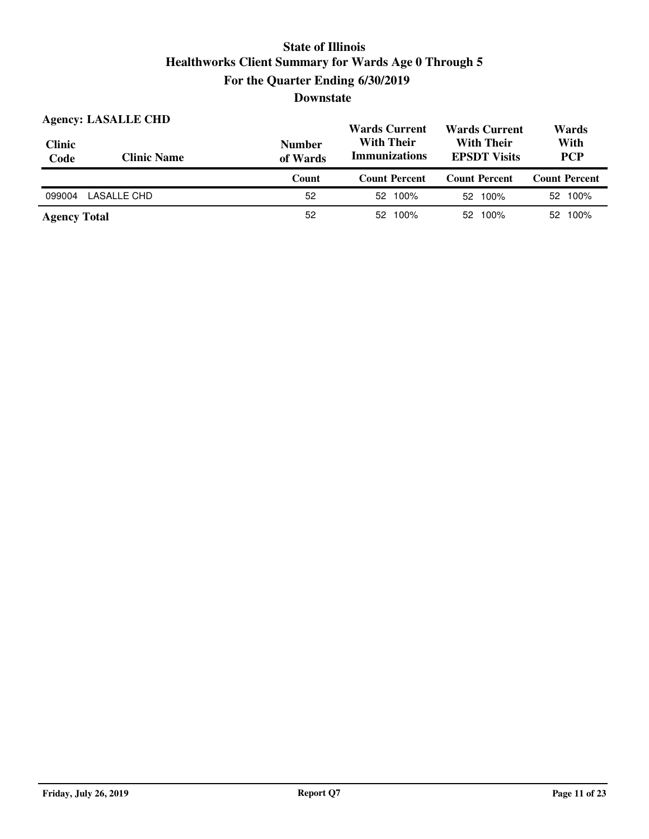| <b>Clinic</b><br>Code | <b>Agency: LASALLE CHD</b><br><b>Clinic Name</b> | <b>Number</b><br>of Wards | <b>Wards Current</b><br><b>With Their</b><br><b>Immunizations</b> | <b>Wards Current</b><br><b>With Their</b><br><b>EPSDT</b> Visits | Wards<br>With<br><b>PCP</b> |
|-----------------------|--------------------------------------------------|---------------------------|-------------------------------------------------------------------|------------------------------------------------------------------|-----------------------------|
|                       |                                                  |                           |                                                                   |                                                                  |                             |
|                       |                                                  | Count                     | <b>Count Percent</b>                                              | <b>Count Percent</b>                                             | <b>Count Percent</b>        |
| 099004                | LASALLE CHD                                      | 52                        | 52 100%                                                           | 52 100%                                                          | 52 100%                     |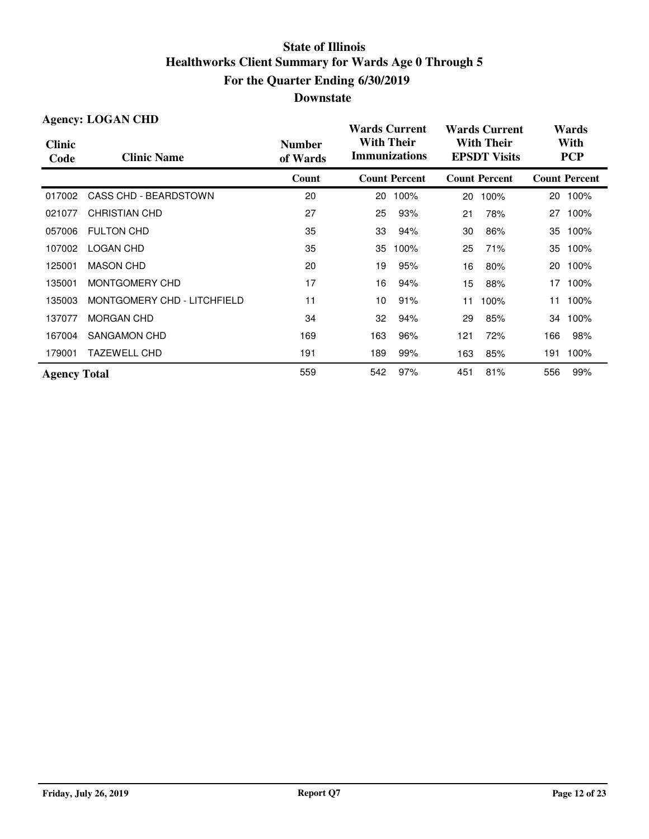| <b>Agency: LOGAN CHD</b> |                             |                           | <b>Wards Current</b>                                                                  |                      |                    | <b>Wards Current</b> |     | Wards                |  |
|--------------------------|-----------------------------|---------------------------|---------------------------------------------------------------------------------------|----------------------|--------------------|----------------------|-----|----------------------|--|
| <b>Clinic</b><br>Code    | <b>Clinic Name</b>          | <b>Number</b><br>of Wards | <b>With Their</b><br><b>With Their</b><br><b>Immunizations</b><br><b>EPSDT Visits</b> |                      | With<br><b>PCP</b> |                      |     |                      |  |
|                          |                             | Count                     |                                                                                       | <b>Count Percent</b> |                    | <b>Count Percent</b> |     | <b>Count Percent</b> |  |
| 017002                   | CASS CHD - BEARDSTOWN       | 20                        | 20                                                                                    | 100%                 | 20                 | 100%                 | 20  | 100%                 |  |
| 021077                   | <b>CHRISTIAN CHD</b>        | 27                        | 25                                                                                    | 93%                  | 21                 | 78%                  |     | 27 100%              |  |
| 057006                   | <b>FULTON CHD</b>           | 35                        | 33                                                                                    | 94%                  | 30                 | 86%                  | 35  | 100%                 |  |
| 107002                   | <b>LOGAN CHD</b>            | 35                        | 35                                                                                    | 100%                 | 25                 | 71%                  | 35  | 100%                 |  |
| 125001                   | <b>MASON CHD</b>            | 20                        | 19                                                                                    | 95%                  | 16                 | 80%                  | 20  | 100%                 |  |
| 135001                   | MONTGOMERY CHD              | 17                        | 16                                                                                    | 94%                  | 15                 | 88%                  | 17  | 100%                 |  |
| 135003                   | MONTGOMERY CHD - LITCHFIELD | 11                        | 10                                                                                    | 91%                  | 11                 | 100%                 | 11  | 100%                 |  |
| 137077                   | <b>MORGAN CHD</b>           | 34                        | 32                                                                                    | 94%                  | 29                 | 85%                  | 34  | 100%                 |  |
| 167004                   | SANGAMON CHD                | 169                       | 163                                                                                   | 96%                  | 121                | 72%                  | 166 | 98%                  |  |
| 179001                   | <b>TAZEWELL CHD</b>         | 191                       | 189                                                                                   | 99%                  | 163                | 85%                  | 191 | 100%                 |  |
| <b>Agency Total</b>      |                             | 559                       | 542                                                                                   | 97%                  | 451                | 81%                  | 556 | 99%                  |  |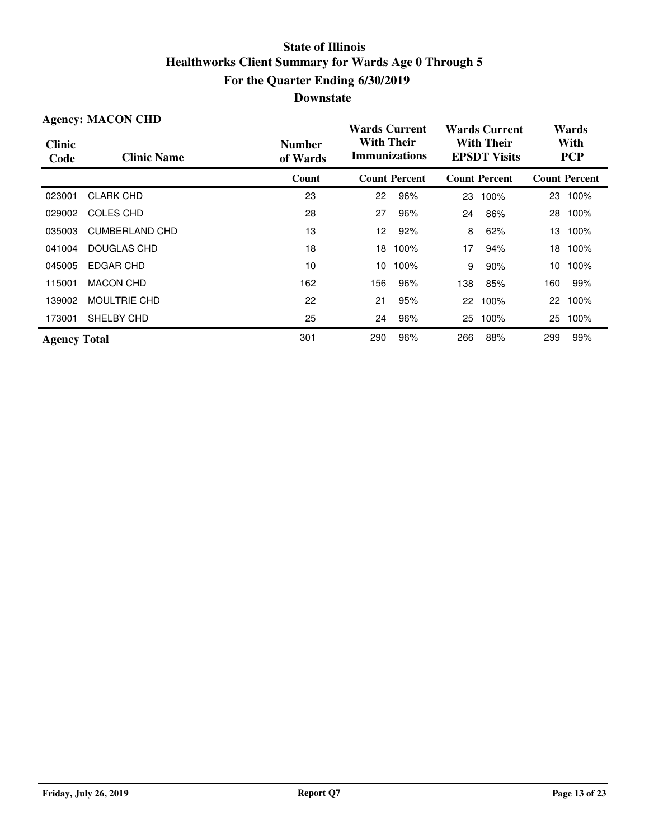| <b>Agency: MACON CHD</b> |                       |                           | <b>Wards Current</b>                      |                      | <b>Wards Current</b>                     |                      | Wards |                      |
|--------------------------|-----------------------|---------------------------|-------------------------------------------|----------------------|------------------------------------------|----------------------|-------|----------------------|
| <b>Clinic</b><br>Code    | <b>Clinic Name</b>    | <b>Number</b><br>of Wards | <b>With Their</b><br><b>Immunizations</b> |                      | <b>With Their</b><br><b>EPSDT Visits</b> |                      |       | With<br><b>PCP</b>   |
|                          |                       | Count                     |                                           | <b>Count Percent</b> |                                          | <b>Count Percent</b> |       | <b>Count Percent</b> |
| 023001                   | <b>CLARK CHD</b>      | 23                        | 22                                        | 96%                  | 23                                       | 100%                 |       | 23 100%              |
| 029002                   | COLES CHD             | 28                        | 27                                        | 96%                  | 24                                       | 86%                  | 28    | 100%                 |
| 035003                   | <b>CUMBERLAND CHD</b> | 13                        | 12                                        | 92%                  | 8                                        | 62%                  | 13    | 100%                 |
| 041004                   | DOUGLAS CHD           | 18                        | 18                                        | 100%                 | 17                                       | 94%                  | 18    | 100%                 |
| 045005                   | <b>EDGAR CHD</b>      | 10                        | 10                                        | 100%                 | 9                                        | 90%                  | 10    | 100%                 |
| 115001                   | <b>MACON CHD</b>      | 162                       | 156                                       | 96%                  | 138                                      | 85%                  | 160   | 99%                  |
| 139002                   | <b>MOULTRIE CHD</b>   | 22                        | 21                                        | 95%                  | 22                                       | 100%                 | 22    | 100%                 |
| 173001                   | SHELBY CHD            | 25                        | 24                                        | 96%                  | 25                                       | 100%                 | 25    | 100%                 |
| <b>Agency Total</b>      |                       | 301                       | 290                                       | 96%                  | 266                                      | 88%                  | 299   | 99%                  |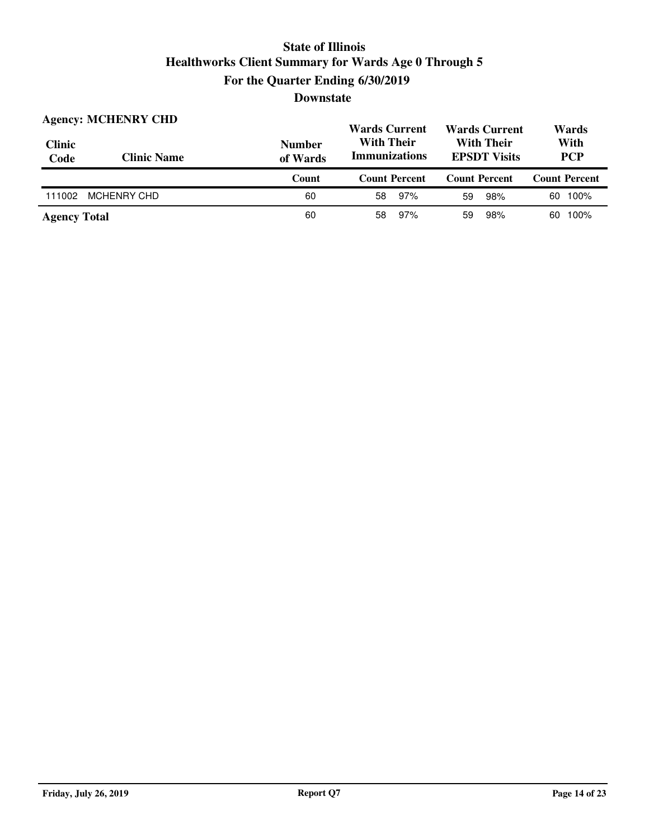| <b>Clinic</b><br>Code | <b>Agency: MCHENRY CHD</b><br><b>Clinic Name</b> | <b>Number</b><br>of Wards | <b>Wards Current</b><br><b>Wards Current</b><br><b>With Their</b><br><b>With Their</b><br><b>Immunizations</b><br><b>EPSDT</b> Visits |                      | Wards<br>With<br><b>PCP</b> |
|-----------------------|--------------------------------------------------|---------------------------|---------------------------------------------------------------------------------------------------------------------------------------|----------------------|-----------------------------|
|                       |                                                  |                           |                                                                                                                                       |                      |                             |
|                       |                                                  | Count                     | <b>Count Percent</b>                                                                                                                  | <b>Count Percent</b> | <b>Count Percent</b>        |
| 111002                | <b>MCHENRY CHD</b>                               | 60                        | 97%<br>58                                                                                                                             | 98%<br>59            | 100%<br>60                  |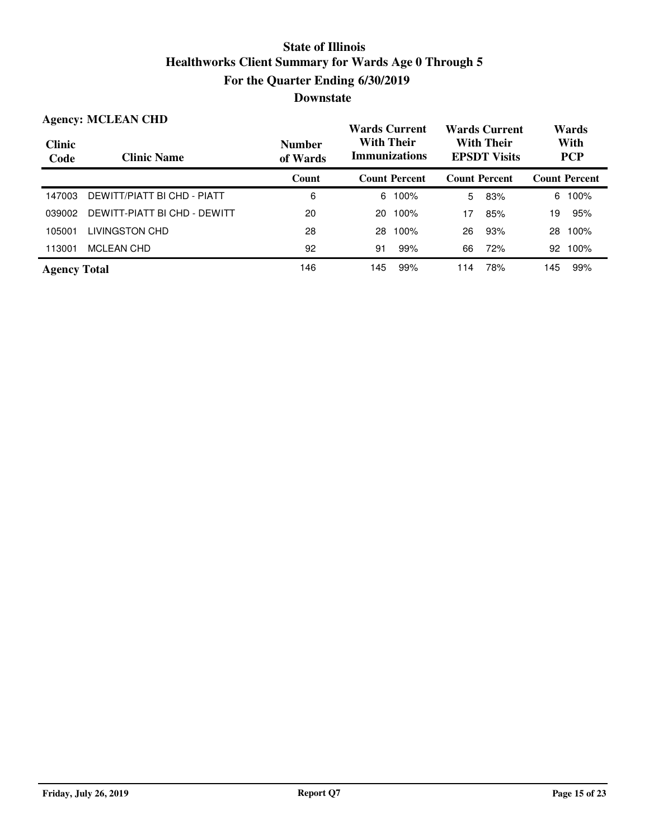|                       | <b>Agency: MCLEAN CHD</b>    |                           | <b>Wards Current</b>                      |                      |                                          | <b>Wards Current</b> | Wards              |                      |
|-----------------------|------------------------------|---------------------------|-------------------------------------------|----------------------|------------------------------------------|----------------------|--------------------|----------------------|
| <b>Clinic</b><br>Code | <b>Clinic Name</b>           | <b>Number</b><br>of Wards | <b>With Their</b><br><b>Immunizations</b> |                      | <b>With Their</b><br><b>EPSDT Visits</b> |                      | With<br><b>PCP</b> |                      |
|                       |                              | Count                     |                                           | <b>Count Percent</b> | <b>Count Percent</b>                     |                      |                    | <b>Count Percent</b> |
| 147003                | DEWITT/PIATT BI CHD - PIATT  | 6                         | 6                                         | 100%                 | 5                                        | 83%                  | 6                  | 100%                 |
| 039002                | DEWITT-PIATT BI CHD - DEWITT | 20                        | 20                                        | 100%                 | 17                                       | 85%                  | 19                 | 95%                  |
| 105001                | <b>LIVINGSTON CHD</b>        | 28                        | 28                                        | 100%                 | 26                                       | 93%                  | 28                 | 100%                 |
| 113001                | <b>MCLEAN CHD</b>            | 92                        | 91                                        | 99%                  | 66                                       | 72%                  | 92                 | 100%                 |
| <b>Agency Total</b>   |                              | 146                       | 145                                       | 99%                  | 114                                      | 78%                  | 145                | 99%                  |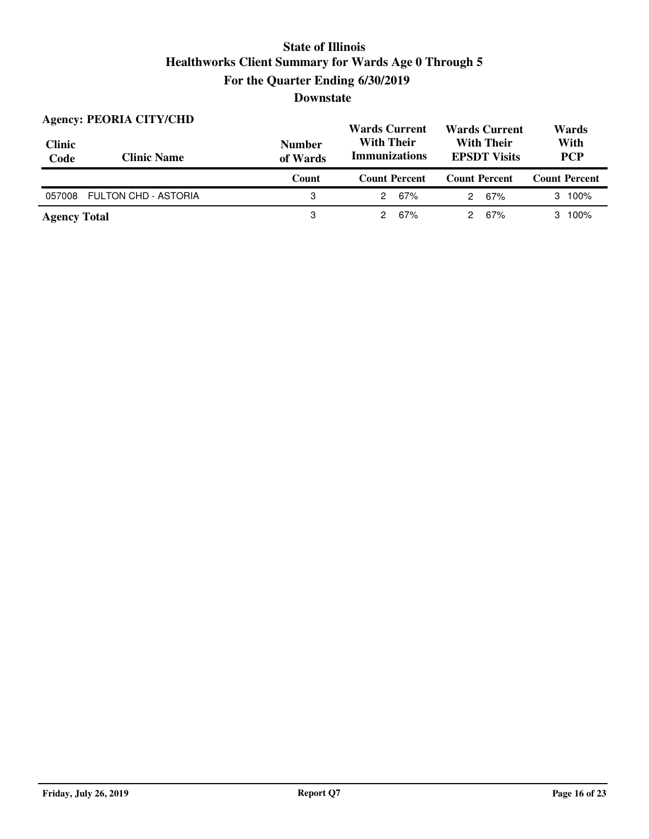| <b>Clinic</b><br>Code | <b>Agency: PEORIA CITY/CHD</b><br><b>Clinic Name</b> | <b>Number</b><br>of Wards | <b>Wards Current</b><br><b>Wards Current</b><br><b>With Their</b><br><b>With Their</b><br><b>Immunizations</b><br><b>EPSDT Visits</b> |                      | Wards<br>With<br><b>PCP</b> |
|-----------------------|------------------------------------------------------|---------------------------|---------------------------------------------------------------------------------------------------------------------------------------|----------------------|-----------------------------|
|                       |                                                      | Count                     | <b>Count Percent</b>                                                                                                                  | <b>Count Percent</b> | <b>Count Percent</b>        |
| 057008                | <b>FULTON CHD - ASTORIA</b>                          | 3                         | 67%<br>2                                                                                                                              | 67%<br>2             | $3 \t100\%$                 |
| <b>Agency Total</b>   |                                                      | З                         | 67%<br>2                                                                                                                              | 67%<br>2             | 3 100%                      |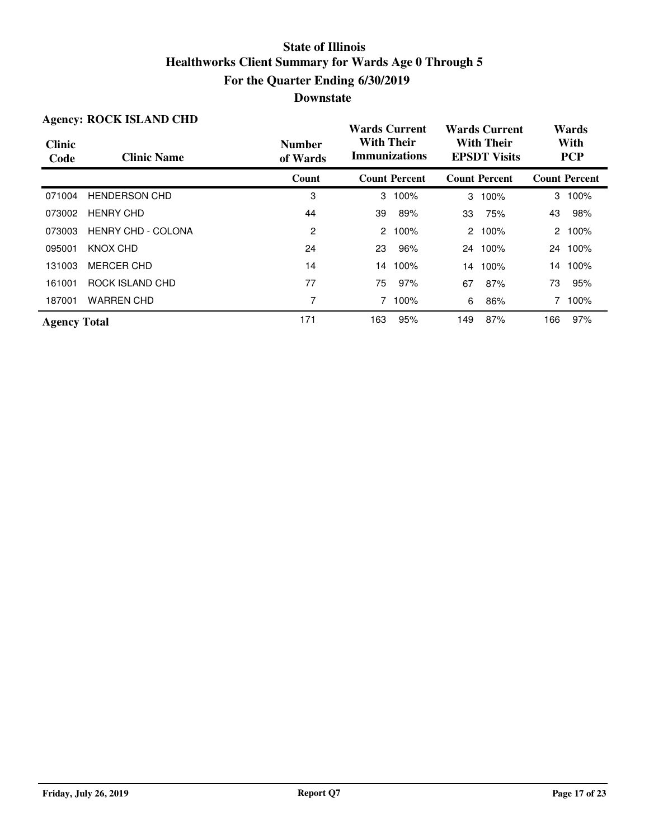| <b>Agency: ROCK ISLAND CHD</b> |                           |                           | <b>Wards Current</b>                      |                      | <b>Wards Current</b>                     |                      | Wards |                      |
|--------------------------------|---------------------------|---------------------------|-------------------------------------------|----------------------|------------------------------------------|----------------------|-------|----------------------|
| <b>Clinic</b><br>Code          | <b>Clinic Name</b>        | <b>Number</b><br>of Wards | <b>With Their</b><br><b>Immunizations</b> |                      | <b>With Their</b><br><b>EPSDT Visits</b> |                      |       | With<br><b>PCP</b>   |
|                                |                           | Count                     |                                           | <b>Count Percent</b> |                                          | <b>Count Percent</b> |       | <b>Count Percent</b> |
| 071004                         | <b>HENDERSON CHD</b>      | 3                         |                                           | 3 100%               | 3                                        | 100%                 |       | 3 100%               |
| 073002                         | <b>HENRY CHD</b>          | 44                        | 39                                        | 89%                  | 33                                       | 75%                  | 43    | 98%                  |
| 073003                         | <b>HENRY CHD - COLONA</b> | 2                         |                                           | 2 100%               |                                          | 2 100%               |       | 2 100%               |
| 095001                         | KNOX CHD                  | 24                        | 23                                        | 96%                  | 24                                       | 100%                 |       | 24 100%              |
| 131003                         | <b>MERCER CHD</b>         | 14                        |                                           | 14 100%              | 14                                       | 100%                 |       | 14 100%              |
| 161001                         | ROCK ISLAND CHD           | 77                        | 75                                        | 97%                  | 67                                       | 87%                  | 73    | 95%                  |
| 187001                         | <b>WARREN CHD</b>         | 7                         |                                           | 7 100%               | 6                                        | 86%                  |       | 100%                 |
| <b>Agency Total</b>            |                           | 171                       | 163                                       | 95%                  | 149                                      | 87%                  | 166   | 97%                  |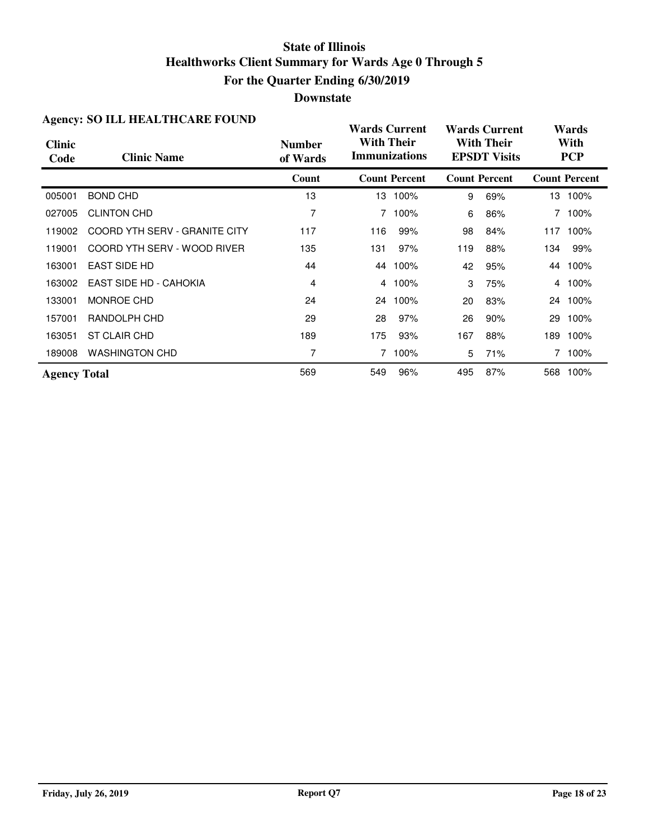#### **Downstate**

| $\mathbf{H}_{\mathbf{S}}$ che $\mathbf{y}$ . 90 $\mathbf{H}_{\mathbf{D}}$ $\mathbf{H}_{\mathbf{D}}$ $\mathbf{H}_{\mathbf{D}}$ $\mathbf{H}_{\mathbf{D}}$ $\mathbf{H}_{\mathbf{D}}$ $\mathbf{H}_{\mathbf{D}}$ |                               |                           | <b>Wards Current</b> |                      |     | <b>Wards Current</b>                     |     | Wards                |  |
|-------------------------------------------------------------------------------------------------------------------------------------------------------------------------------------------------------------|-------------------------------|---------------------------|----------------------|----------------------|-----|------------------------------------------|-----|----------------------|--|
| <b>Clinic</b><br>Code                                                                                                                                                                                       | <b>Clinic Name</b>            | <b>Number</b><br>of Wards | <b>With Their</b>    | <b>Immunizations</b> |     | <b>With Their</b><br><b>EPSDT Visits</b> |     | With<br><b>PCP</b>   |  |
|                                                                                                                                                                                                             |                               | Count                     |                      | <b>Count Percent</b> |     | <b>Count Percent</b>                     |     | <b>Count Percent</b> |  |
| 005001                                                                                                                                                                                                      | <b>BOND CHD</b>               | 13                        |                      | 13 100%              | 9   | 69%                                      |     | 13 100%              |  |
| 027005                                                                                                                                                                                                      | <b>CLINTON CHD</b>            | 7                         |                      | 7 100%               | 6   | 86%                                      |     | 7 100%               |  |
| 119002                                                                                                                                                                                                      | COORD YTH SERV - GRANITE CITY | 117                       | 116                  | 99%                  | 98  | 84%                                      |     | 117 100%             |  |
| 119001                                                                                                                                                                                                      | COORD YTH SERV - WOOD RIVER   | 135                       | 131                  | 97%                  | 119 | 88%                                      | 134 | 99%                  |  |
| 163001                                                                                                                                                                                                      | <b>EAST SIDE HD</b>           | 44                        |                      | 44 100%              | 42  | 95%                                      |     | 44 100%              |  |
| 163002                                                                                                                                                                                                      | <b>EAST SIDE HD - CAHOKIA</b> | 4                         | 4                    | 100%                 | 3   | 75%                                      |     | 4 100%               |  |
| 133001                                                                                                                                                                                                      | MONROE CHD                    | 24                        |                      | 24 100%              | 20  | 83%                                      |     | 24 100%              |  |
| 157001                                                                                                                                                                                                      | RANDOLPH CHD                  | 29                        | 28                   | 97%                  | 26  | 90%                                      | 29  | 100%                 |  |
| 163051                                                                                                                                                                                                      | ST CLAIR CHD                  | 189                       | 175                  | 93%                  | 167 | 88%                                      | 189 | 100%                 |  |
| 189008                                                                                                                                                                                                      | <b>WASHINGTON CHD</b>         | 7                         |                      | 100%                 | 5   | 71%                                      |     | 7 100%               |  |
| <b>Agency Total</b>                                                                                                                                                                                         |                               | 569                       | 549                  | 96%                  | 495 | 87%                                      |     | 568 100%             |  |

#### **Agency: SO ILL HEALTHCARE FOUND**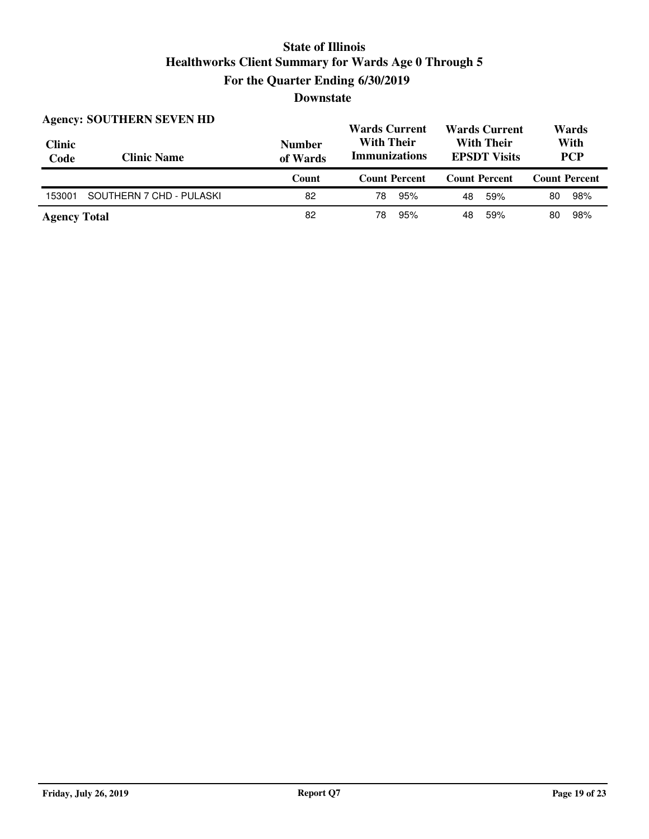| <b>Clinic</b><br>Code | <b>Agency: SOUTHERN SEVEN HD</b><br><b>Clinic Name</b> | <b>Number</b><br>of Wards | <b>Wards Current</b><br><b>Wards Current</b><br><b>With Their</b><br><b>With Their</b><br><b>Immunizations</b><br><b>EPSDT Visits</b> |                      | Wards<br>With<br><b>PCP</b> |  |
|-----------------------|--------------------------------------------------------|---------------------------|---------------------------------------------------------------------------------------------------------------------------------------|----------------------|-----------------------------|--|
|                       |                                                        |                           |                                                                                                                                       |                      |                             |  |
|                       |                                                        | Count                     | <b>Count Percent</b>                                                                                                                  | <b>Count Percent</b> | <b>Count Percent</b>        |  |
| 153001                | SOUTHERN 7 CHD - PULASKI                               | 82                        | 95%<br>78                                                                                                                             | 59%<br>48            | 98%<br>80                   |  |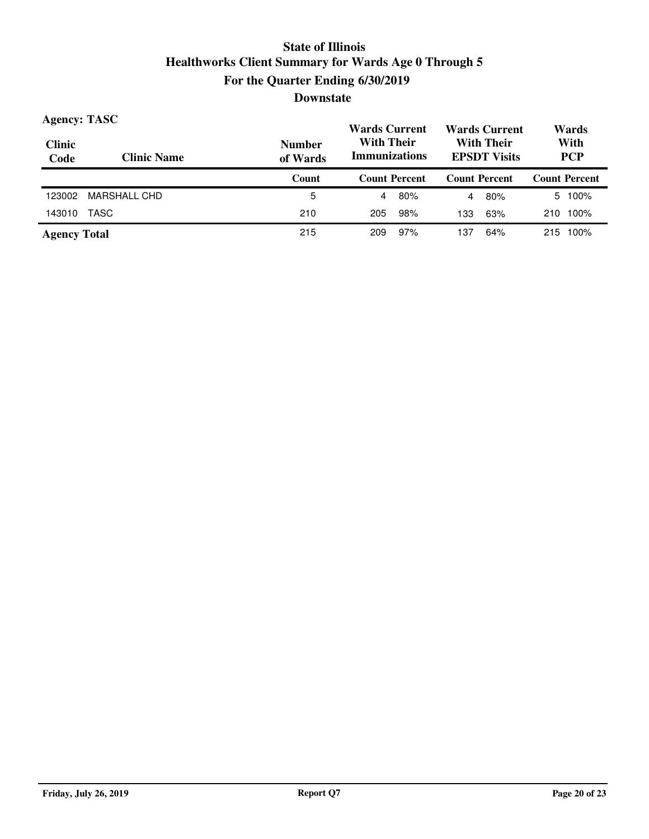| <b>Agency: TASC</b>   |                    |                           | <b>Wards Current</b>                                                                  |     |                | <b>Wards Current</b> | Wards |                      |
|-----------------------|--------------------|---------------------------|---------------------------------------------------------------------------------------|-----|----------------|----------------------|-------|----------------------|
| <b>Clinic</b><br>Code | <b>Clinic Name</b> | <b>Number</b><br>of Wards | <b>With Their</b><br><b>With Their</b><br><b>Immunizations</b><br><b>EPSDT Visits</b> |     |                | With<br><b>PCP</b>   |       |                      |
|                       |                    | Count                     | <b>Count Percent</b>                                                                  |     |                | <b>Count Percent</b> |       | <b>Count Percent</b> |
| 123002                | MARSHALL CHD       | 5                         | 4                                                                                     | 80% | $\overline{4}$ | 80%                  |       | 5 100%               |
| 143010                | TASC               | 210                       | 205                                                                                   | 98% | 133            | 63%                  | 210   | 100%                 |
| <b>Agency Total</b>   |                    | 215                       | 209                                                                                   | 97% | 137            | 64%                  | 215   | 100%                 |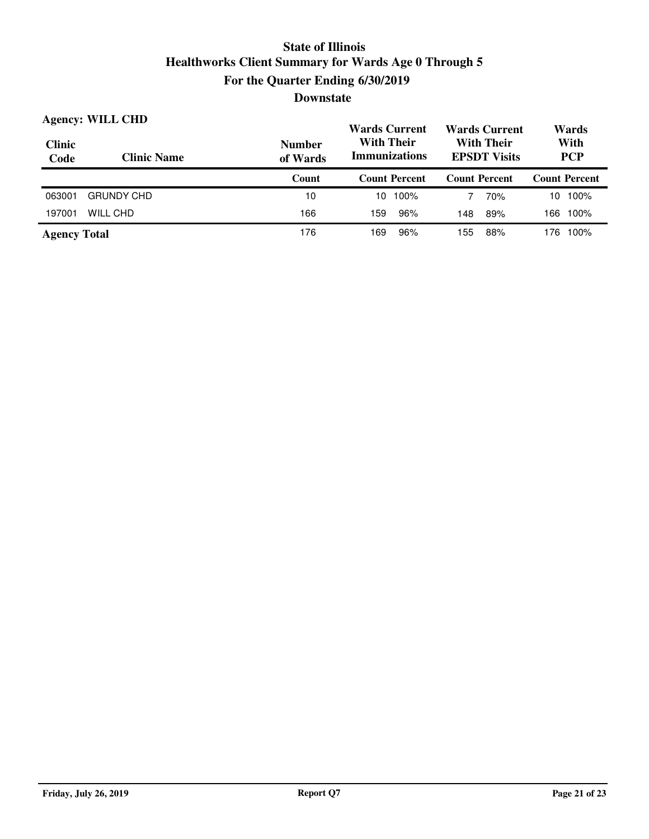| <b>Agency: WILL CHD</b> |                    |                           | <b>Wards Current</b>                      | <b>Wards Current</b>                     | Wards                |  |
|-------------------------|--------------------|---------------------------|-------------------------------------------|------------------------------------------|----------------------|--|
| Clinic<br>Code          | <b>Clinic Name</b> | <b>Number</b><br>of Wards | <b>With Their</b><br><b>Immunizations</b> | <b>With Their</b><br><b>EPSDT Visits</b> | With<br><b>PCP</b>   |  |
|                         |                    | Count                     | <b>Count Percent</b>                      | <b>Count Percent</b>                     | <b>Count Percent</b> |  |
| 063001                  | <b>GRUNDY CHD</b>  | 10                        | $10, 100\%$                               | 70%                                      | 100%<br>10           |  |
| 197001                  | WILL CHD           | 166                       | 96%<br>159                                | 89%<br>148                               | 100%<br>166          |  |
| <b>Agency Total</b>     |                    | 176                       | 96%<br>169                                | 88%<br>155                               | 100%<br>176          |  |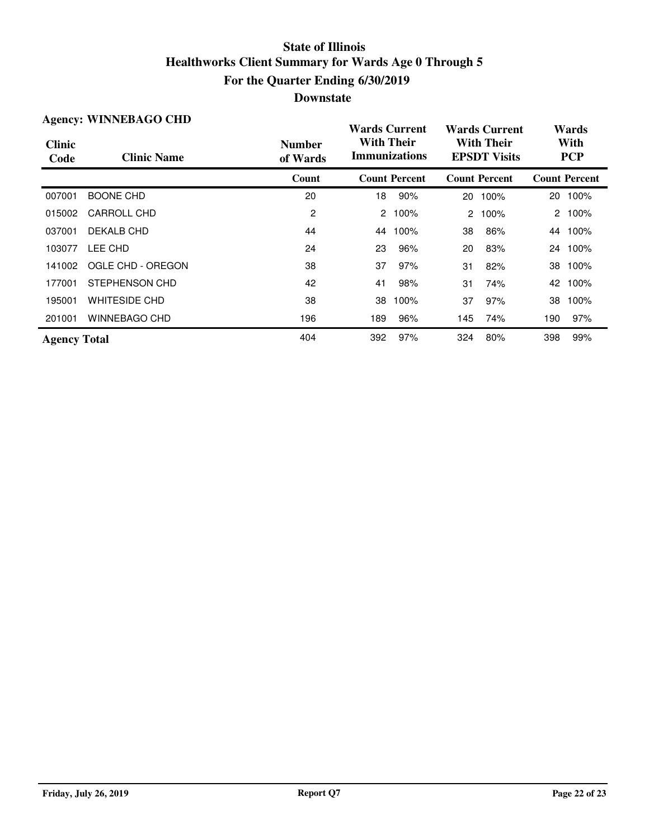| <b>Agency: WINNEBAGO CHD</b> |                      |                           | Wards Current                             |                      |                                          | <b>Wards Current</b> |                    | Wards                |  |
|------------------------------|----------------------|---------------------------|-------------------------------------------|----------------------|------------------------------------------|----------------------|--------------------|----------------------|--|
| <b>Clinic</b><br>Code        | <b>Clinic Name</b>   | <b>Number</b><br>of Wards | <b>With Their</b><br><b>Immunizations</b> |                      | <b>With Their</b><br><b>EPSDT Visits</b> |                      | With<br><b>PCP</b> |                      |  |
|                              |                      | Count                     |                                           | <b>Count Percent</b> |                                          | <b>Count Percent</b> |                    | <b>Count Percent</b> |  |
| 007001                       | <b>BOONE CHD</b>     | 20                        | 18                                        | 90%                  | 20                                       | 100%                 |                    | 20 100%              |  |
| 015002                       | CARROLL CHD          | $\overline{2}$            | 2                                         | 100%                 | $\mathbf{2}$                             | 100%                 |                    | 2 100%               |  |
| 037001                       | DEKALB CHD           | 44                        | 44                                        | 100%                 | 38                                       | 86%                  |                    | 44 100%              |  |
| 103077                       | LEE CHD              | 24                        | 23                                        | 96%                  | 20                                       | 83%                  |                    | 24 100%              |  |
| 141002                       | OGLE CHD - OREGON    | 38                        | 37                                        | 97%                  | 31                                       | 82%                  | 38                 | 100%                 |  |
| 177001                       | STEPHENSON CHD       | 42                        | 41                                        | 98%                  | 31                                       | 74%                  | 42                 | 100%                 |  |
| 195001                       | <b>WHITESIDE CHD</b> | 38                        | 38                                        | 100%                 | 37                                       | 97%                  | 38                 | 100%                 |  |
| 201001                       | WINNEBAGO CHD        | 196                       | 189                                       | 96%                  | 145                                      | 74%                  | 190                | 97%                  |  |
| <b>Agency Total</b>          |                      | 404                       | 392                                       | 97%                  | 324                                      | 80%                  | 398                | 99%                  |  |